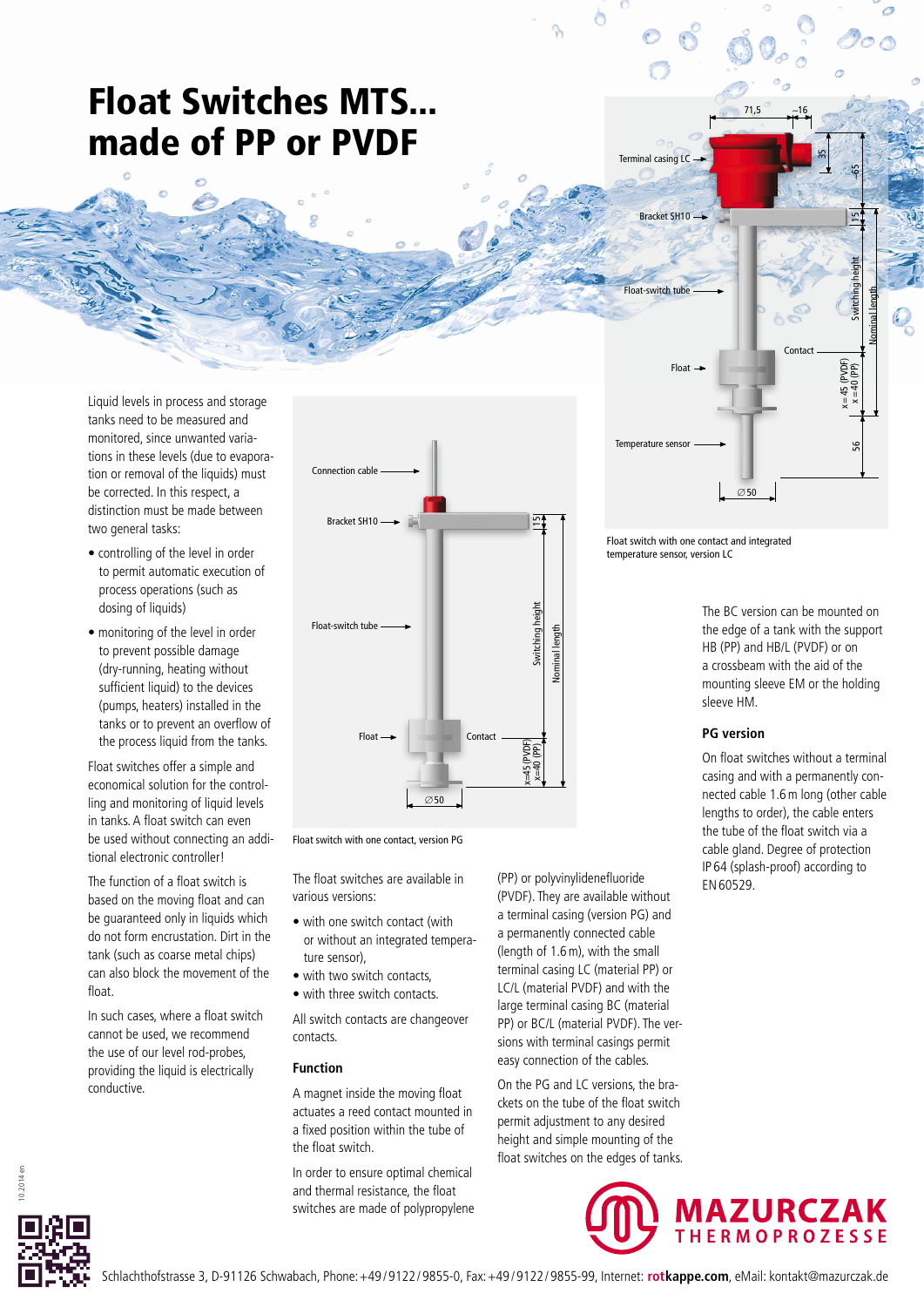# Float Switches MTS... made of PP or PVDF

Liquid levels in process and storage tanks need to be measured and monitored, since unwanted variations in these levels (due to evaporation or removal of the liquids) must be corrected. In this respect, a distinction must be made between two general tasks:

- controlling of the level in order to permit automatic execution of process operations (such as dosing of liquids)
- monitoring of the level in order to prevent possible damage (dry-running, heating without sufficient liquid) to the devices (pumps, heaters) installed in the tanks or to prevent an overflow of the process liquid from the tanks.

Float switches offer a simple and economical solution for the controlling and monitoring of liquid levels in tanks. A float switch can even be used without connecting an additional electronic controller!

The function of a float switch is based on the moving float and can be guaranteed only in liquids which do not form encrustation. Dirt in the tank (such as coarse metal chips) can also block the movement of the float.

In such cases, where a float switch cannot be used, we recommend the use of our level rod-probes, providing the liquid is electrically conductive.



Float switch with one contact, version PG

The float switches are available in various versions:

- with one switch contact (with or without an integrated temperature sensor),
- with two switch contacts, • with three switch contacts.
- 

All switch contacts are changeover contacts.

### **Function**

A magnet inside the moving float actuates a reed contact mounted in a fixed position within the tube of the float switch.

In order to ensure optimal chemical and thermal resistance, the float switches are made of polypropylene (PP) or polyvinylidenefluoride (PVDF). They are available without a terminal casing (version PG) and a permanently connected cable (length of 1.6m), with the small terminal casing LC (material PP) or LC/L (material PVDF) and with the large terminal casing BC (material PP) or BC/L (material PVDF). The versions with terminal casings permit easy connection of the cables.

On the PG and LC versions, the brackets on the tube of the float switch permit adjustment to any desired height and simple mounting of the float switches on the edges of tanks.



Float switch with one contact and integrated temperature sensor, version LC

Terminal casing  $LC \rightarrow$ 

Bracket SH10<sup>-</sup>

The BC version can be mounted on the edge of a tank with the support HB (PP) and HB/L (PVDF) or on a crossbeam with the aid of the mounting sleeve EM or the holding sleeve HM.

15 ∼65

35

71,5 ∼16

## **PG version**

On float switches without a terminal casing and with a permanently connected cable 1.6m long (other cable lengths to order), the cable enters the tube of the float switch via a cable gland. Degree of protection IP 64 (splash-proof) according to EN60529.